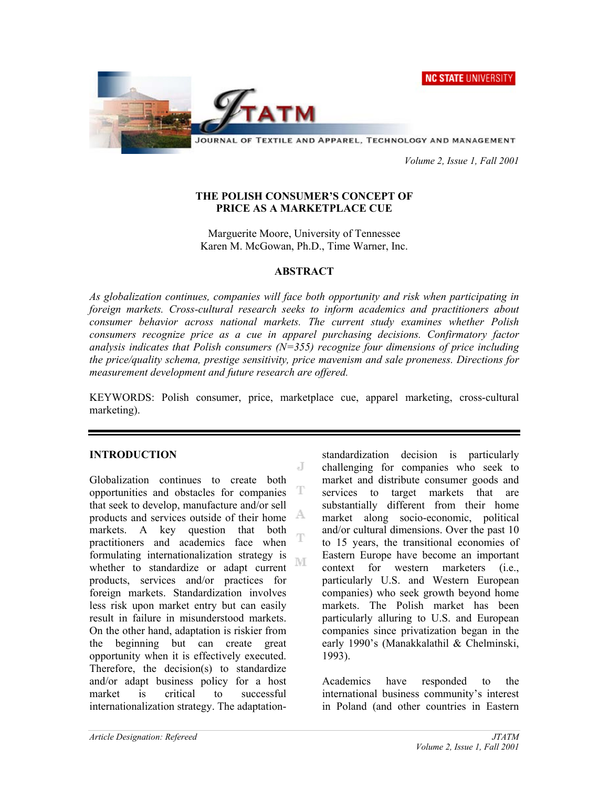NC STATE UNIVERSITY



JOURNAL OF TEXTILE AND APPAREL, TECHNOLOGY AND MANAGEMENT

 *Volume 2, Issue 1, Fall 2001* 

### **THE POLISH CONSUMER'S CONCEPT OF PRICE AS A MARKETPLACE CUE**

Marguerite Moore, University of Tennessee Karen M. McGowan, Ph.D., Time Warner, Inc.

### **ABSTRACT**

*As globalization continues, companies will face both opportunity and risk when participating in foreign markets. Cross-cultural research seeks to inform academics and practitioners about consumer behavior across national markets. The current study examines whether Polish consumers recognize price as a cue in apparel purchasing decisions. Confirmatory factor analysis indicates that Polish consumers (N=355) recognize four dimensions of price including the price/quality schema, prestige sensitivity, price mavenism and sale proneness. Directions for measurement development and future research are offered.* 

KEYWORDS: Polish consumer, price, marketplace cue, apparel marketing, cross-cultural marketing).

J

### **INTRODUCTION**

Globalization continues to create both opportunities and obstacles for companies T that seek to develop, manufacture and/or sell products and services outside of their home markets. A key question that both T practitioners and academics face when formulating internationalization strategy is M whether to standardize or adapt current products, services and/or practices for foreign markets. Standardization involves less risk upon market entry but can easily result in failure in misunderstood markets. On the other hand, adaptation is riskier from the beginning but can create great opportunity when it is effectively executed. Therefore, the decision(s) to standardize and/or adapt business policy for a host market is critical to successful internationalization strategy. The adaptationstandardization decision is particularly challenging for companies who seek to market and distribute consumer goods and services to target markets that are substantially different from their home market along socio-economic, political and/or cultural dimensions. Over the past 10 to 15 years, the transitional economies of Eastern Europe have become an important context for western marketers (i.e., particularly U.S. and Western European companies) who seek growth beyond home markets. The Polish market has been particularly alluring to U.S. and European companies since privatization began in the early 1990's (Manakkalathil & Chelminski, 1993).

Academics have responded to the international business community's interest in Poland (and other countries in Eastern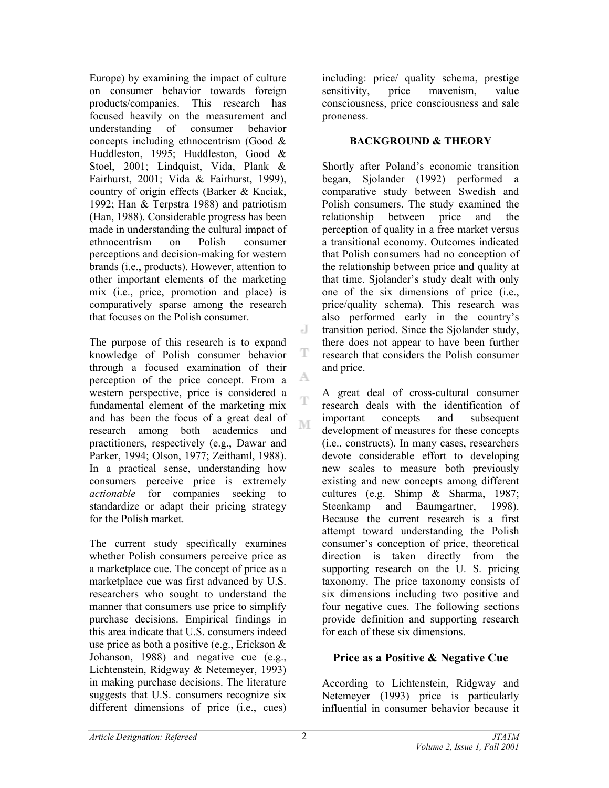Europe) by examining the impact of culture on consumer behavior towards foreign products/companies. This research has focused heavily on the measurement and understanding of consumer behavior concepts including ethnocentrism (Good & Huddleston, 1995; Huddleston, Good & Stoel, 2001; Lindquist, Vida, Plank & Fairhurst, 2001; Vida & Fairhurst, 1999), country of origin effects (Barker & Kaciak, 1992; Han & Terpstra 1988) and patriotism (Han, 1988). Considerable progress has been made in understanding the cultural impact of ethnocentrism on Polish consumer perceptions and decision-making for western brands (i.e., products). However, attention to other important elements of the marketing mix (i.e., price, promotion and place) is comparatively sparse among the research that focuses on the Polish consumer.

The purpose of this research is to expand knowledge of Polish consumer behavior through a focused examination of their perception of the price concept. From a western perspective, price is considered a fundamental element of the marketing mix and has been the focus of a great deal of research among both academics and practitioners, respectively (e.g., Dawar and Parker, 1994; Olson, 1977; Zeithaml, 1988). In a practical sense, understanding how consumers perceive price is extremely *actionable* for companies seeking to standardize or adapt their pricing strategy for the Polish market.

The current study specifically examines whether Polish consumers perceive price as a marketplace cue. The concept of price as a marketplace cue was first advanced by U.S. researchers who sought to understand the manner that consumers use price to simplify purchase decisions. Empirical findings in this area indicate that U.S. consumers indeed use price as both a positive (e.g., Erickson & Johanson, 1988) and negative cue (e.g., Lichtenstein, Ridgway & Netemeyer, 1993) in making purchase decisions. The literature suggests that U.S. consumers recognize six different dimensions of price (i.e., cues)

including: price/ quality schema, prestige sensitivity, price mavenism, value consciousness, price consciousness and sale proneness.

### **BACKGROUND & THEORY**

Shortly after Poland's economic transition began, Sjolander (1992) performed a comparative study between Swedish and Polish consumers. The study examined the relationship between price and the perception of quality in a free market versus a transitional economy. Outcomes indicated that Polish consumers had no conception of the relationship between price and quality at that time. Sjolander's study dealt with only one of the six dimensions of price (i.e., price/quality schema). This research was also performed early in the country's transition period. Since the Sjolander study, there does not appear to have been further research that considers the Polish consumer and price.

A great deal of cross-cultural consumer research deals with the identification of important concepts and subsequent development of measures for these concepts (i.e., constructs). In many cases, researchers devote considerable effort to developing new scales to measure both previously existing and new concepts among different cultures (e.g. Shimp & Sharma, 1987; Steenkamp and Baumgartner, 1998). Because the current research is a first attempt toward understanding the Polish consumer's conception of price, theoretical direction is taken directly from the supporting research on the U. S. pricing taxonomy. The price taxonomy consists of six dimensions including two positive and four negative cues. The following sections provide definition and supporting research for each of these six dimensions.

## **Price as a Positive & Negative Cue**

According to Lichtenstein, Ridgway and Netemeyer (1993) price is particularly influential in consumer behavior because it

J

T

A

T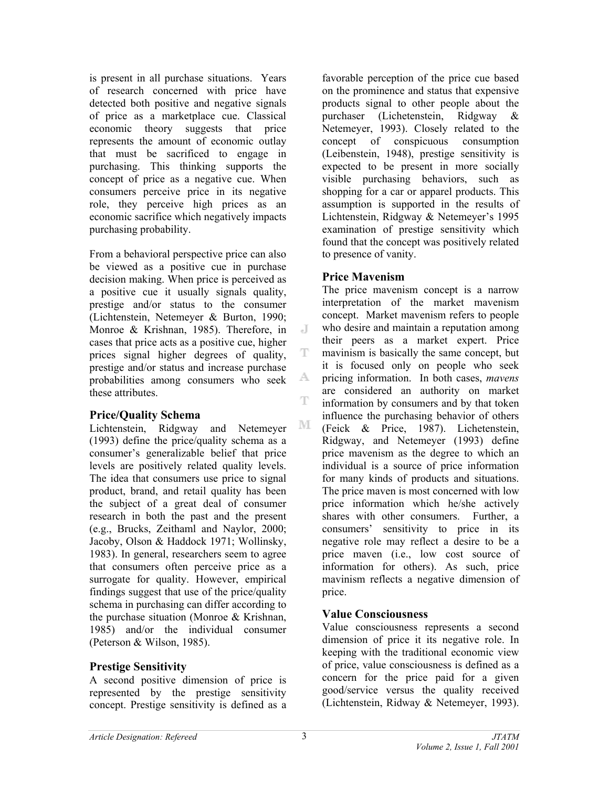is present in all purchase situations. Years of research concerned with price have detected both positive and negative signals of price as a marketplace cue. Classical economic theory suggests that price represents the amount of economic outlay that must be sacrificed to engage in purchasing. This thinking supports the concept of price as a negative cue. When consumers perceive price in its negative role, they perceive high prices as an economic sacrifice which negatively impacts purchasing probability.

From a behavioral perspective price can also be viewed as a positive cue in purchase decision making. When price is perceived as a positive cue it usually signals quality, prestige and/or status to the consumer (Lichtenstein, Netemeyer & Burton, 1990; Monroe & Krishnan, 1985). Therefore, in cases that price acts as a positive cue, higher prices signal higher degrees of quality, prestige and/or status and increase purchase probabilities among consumers who seek these attributes.

### **Price/Quality Schema**

Lichtenstein, Ridgway and Netemeyer (1993) define the price/quality schema as a consumer's generalizable belief that price levels are positively related quality levels. The idea that consumers use price to signal product, brand, and retail quality has been the subject of a great deal of consumer research in both the past and the present (e.g., Brucks, Zeithaml and Naylor, 2000; Jacoby, Olson & Haddock 1971; Wollinsky, 1983). In general, researchers seem to agree that consumers often perceive price as a surrogate for quality. However, empirical findings suggest that use of the price/quality schema in purchasing can differ according to the purchase situation (Monroe & Krishnan, 1985) and/or the individual consumer (Peterson & Wilson, 1985).

## **Prestige Sensitivity**

A second positive dimension of price is represented by the prestige sensitivity concept. Prestige sensitivity is defined as a favorable perception of the price cue based on the prominence and status that expensive products signal to other people about the purchaser (Lichetenstein, Ridgway & Netemeyer, 1993). Closely related to the concept of conspicuous consumption (Leibenstein, 1948), prestige sensitivity is expected to be present in more socially visible purchasing behaviors, such as shopping for a car or apparel products. This assumption is supported in the results of Lichtenstein, Ridgway & Netemeyer's 1995 examination of prestige sensitivity which found that the concept was positively related to presence of vanity.

## **Price Mavenism**

J

T

A.

T

М

The price mavenism concept is a narrow interpretation of the market mavenism concept. Market mavenism refers to people who desire and maintain a reputation among their peers as a market expert. Price mavinism is basically the same concept, but it is focused only on people who seek pricing information. In both cases, *mavens* are considered an authority on market information by consumers and by that token influence the purchasing behavior of others (Feick & Price, 1987). Lichetenstein, Ridgway, and Netemeyer (1993) define price mavenism as the degree to which an individual is a source of price information for many kinds of products and situations. The price maven is most concerned with low price information which he/she actively shares with other consumers. Further, a consumers' sensitivity to price in its negative role may reflect a desire to be a price maven (i.e., low cost source of information for others). As such, price mavinism reflects a negative dimension of price.

# **Value Consciousness**

Value consciousness represents a second dimension of price it its negative role. In keeping with the traditional economic view of price, value consciousness is defined as a concern for the price paid for a given good/service versus the quality received (Lichtenstein, Ridway & Netemeyer, 1993).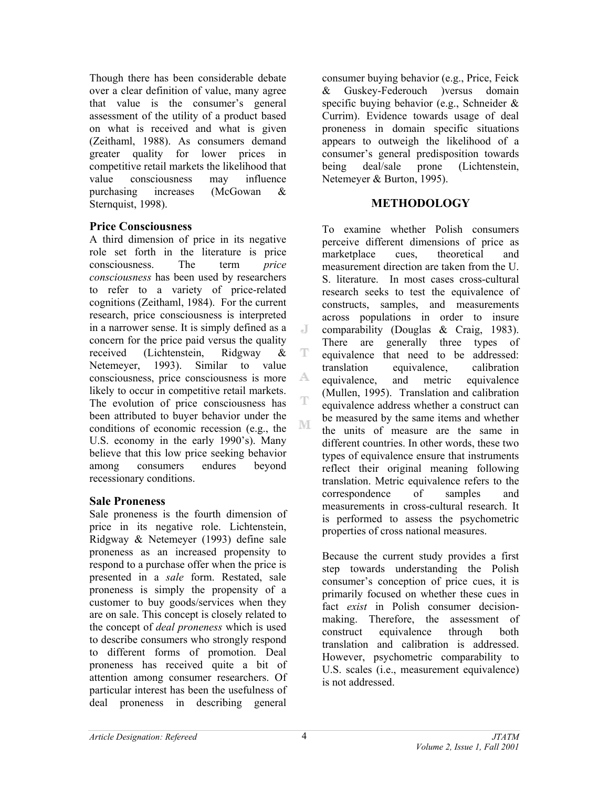Though there has been considerable debate over a clear definition of value, many agree that value is the consumer's general assessment of the utility of a product based on what is received and what is given (Zeithaml, 1988). As consumers demand greater quality for lower prices in competitive retail markets the likelihood that value consciousness may influence purchasing increases (McGowan & Sternquist, 1998).

### **Price Consciousness**

A third dimension of price in its negative role set forth in the literature is price consciousness. The term *price consciousness* has been used by researchers to refer to a variety of price-related cognitions (Zeithaml, 1984). For the current research, price consciousness is interpreted in a narrower sense. It is simply defined as a concern for the price paid versus the quality received (Lichtenstein, Ridgway & Netemeyer, 1993). Similar to value consciousness, price consciousness is more likely to occur in competitive retail markets. The evolution of price consciousness has been attributed to buyer behavior under the conditions of economic recession (e.g., the U.S. economy in the early 1990's). Many believe that this low price seeking behavior among consumers endures beyond recessionary conditions.

## **Sale Proneness**

Sale proneness is the fourth dimension of price in its negative role. Lichtenstein, Ridgway & Netemeyer (1993) define sale proneness as an increased propensity to respond to a purchase offer when the price is presented in a *sale* form. Restated, sale proneness is simply the propensity of a customer to buy goods/services when they are on sale. This concept is closely related to the concept of *deal proneness* which is used to describe consumers who strongly respond to different forms of promotion. Deal proneness has received quite a bit of attention among consumer researchers. Of particular interest has been the usefulness of deal proneness in describing general

consumer buying behavior (e.g., Price, Feick & Guskey-Federouch )versus domain specific buying behavior (e.g., Schneider & Currim). Evidence towards usage of deal proneness in domain specific situations appears to outweigh the likelihood of a consumer's general predisposition towards being deal/sale prone (Lichtenstein, Netemeyer & Burton, 1995).

### **METHODOLOGY**

To examine whether Polish consumers perceive different dimensions of price as marketplace cues, theoretical and measurement direction are taken from the U. S. literature. In most cases cross-cultural research seeks to test the equivalence of constructs, samples, and measurements across populations in order to insure comparability (Douglas & Craig, 1983). There are generally three types of equivalence that need to be addressed: translation equivalence, calibration equivalence, and metric equivalence (Mullen, 1995). Translation and calibration equivalence address whether a construct can be measured by the same items and whether the units of measure are the same in different countries. In other words, these two types of equivalence ensure that instruments reflect their original meaning following translation. Metric equivalence refers to the correspondence of samples and measurements in cross-cultural research. It is performed to assess the psychometric properties of cross national measures.

Because the current study provides a first step towards understanding the Polish consumer's conception of price cues, it is primarily focused on whether these cues in fact *exist* in Polish consumer decisionmaking. Therefore, the assessment of construct equivalence through both translation and calibration is addressed. However, psychometric comparability to U.S. scales (i.e., measurement equivalence) is not addressed.

 $\Box$ 

Ŧ

A.

T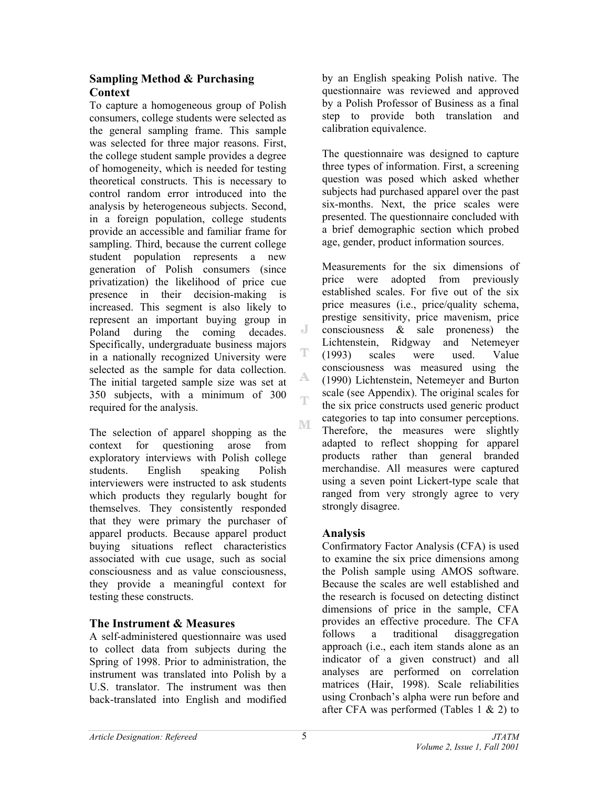## **Sampling Method & Purchasing Context**

To capture a homogeneous group of Polish consumers, college students were selected as the general sampling frame. This sample was selected for three major reasons. First, the college student sample provides a degree of homogeneity, which is needed for testing theoretical constructs. This is necessary to control random error introduced into the analysis by heterogeneous subjects. Second, in a foreign population, college students provide an accessible and familiar frame for sampling. Third, because the current college student population represents a new generation of Polish consumers (since privatization) the likelihood of price cue presence in their decision-making is increased. This segment is also likely to represent an important buying group in Poland during the coming decades. Specifically, undergraduate business majors in a nationally recognized University were selected as the sample for data collection. The initial targeted sample size was set at 350 subjects, with a minimum of 300 required for the analysis.

The selection of apparel shopping as the context for questioning arose from exploratory interviews with Polish college students. English speaking Polish interviewers were instructed to ask students which products they regularly bought for themselves. They consistently responded that they were primary the purchaser of apparel products. Because apparel product buying situations reflect characteristics associated with cue usage, such as social consciousness and as value consciousness, they provide a meaningful context for testing these constructs.

# **The Instrument & Measures**

A self-administered questionnaire was used to collect data from subjects during the Spring of 1998. Prior to administration, the instrument was translated into Polish by a U.S. translator. The instrument was then back-translated into English and modified

by an English speaking Polish native. The questionnaire was reviewed and approved by a Polish Professor of Business as a final step to provide both translation and calibration equivalence.

The questionnaire was designed to capture three types of information. First, a screening question was posed which asked whether subjects had purchased apparel over the past six-months. Next, the price scales were presented. The questionnaire concluded with a brief demographic section which probed age, gender, product information sources.

Measurements for the six dimensions of price were adopted from previously established scales. For five out of the six price measures (i.e., price/quality schema, prestige sensitivity, price mavenism, price consciousness & sale proneness) the Lichtenstein, Ridgway and Netemeyer (1993) scales were used. Value consciousness was measured using the (1990) Lichtenstein, Netemeyer and Burton scale (see Appendix). The original scales for the six price constructs used generic product categories to tap into consumer perceptions. Therefore, the measures were slightly adapted to reflect shopping for apparel products rather than general branded merchandise. All measures were captured using a seven point Lickert-type scale that ranged from very strongly agree to very strongly disagree.

# **Analysis**

Confirmatory Factor Analysis (CFA) is used to examine the six price dimensions among the Polish sample using AMOS software. Because the scales are well established and the research is focused on detecting distinct dimensions of price in the sample, CFA provides an effective procedure. The CFA follows a traditional disaggregation approach (i.e., each item stands alone as an indicator of a given construct) and all analyses are performed on correlation matrices (Hair, 1998). Scale reliabilities using Cronbach's alpha were run before and after CFA was performed (Tables 1 & 2) to

J

T

A.

Ŧ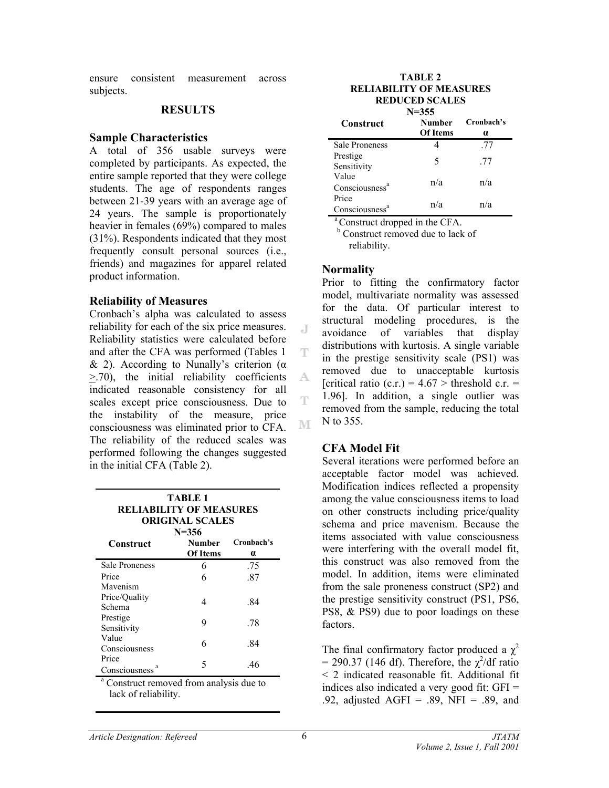ensure consistent measurement across subjects.

#### **RESULTS**

#### **Sample Characteristics**

A total of 356 usable surveys were completed by participants. As expected, the entire sample reported that they were college students. The age of respondents ranges between 21-39 years with an average age of 24 years. The sample is proportionately heavier in females (69%) compared to males (31%). Respondents indicated that they most frequently consult personal sources (i.e., friends) and magazines for apparel related product information.

#### **Reliability of Measures**

Cronbach's alpha was calculated to assess reliability for each of the six price measures. Reliability statistics were calculated before and after the CFA was performed (Tables 1 & 2). According to Nunally's criterion (α  $\geq$ .70), the initial reliability coefficients indicated reasonable consistency for all scales except price consciousness. Due to the instability of the measure, price consciousness was eliminated prior to CFA. The reliability of the reduced scales was performed following the changes suggested in the initial CFA (Table 2).

| TABLE 1<br><b>RELIABILITY OF MEASURES</b><br><b>ORIGINAL SCALES</b><br>$N = 356$ |                           |                        |  |
|----------------------------------------------------------------------------------|---------------------------|------------------------|--|
| Construct                                                                        | <b>Number</b><br>Of Items | Cronbach's<br>$\alpha$ |  |
| <b>Sale Proneness</b>                                                            | 6                         | .75                    |  |
| Price                                                                            | 6                         | -87                    |  |
| Mavenism                                                                         |                           |                        |  |
| Price/Quality<br>Schema                                                          | 4                         | -84                    |  |
| Prestige<br>Sensitivity                                                          | 9                         | .78                    |  |
| Value<br>Consciousness                                                           | 6                         | -84                    |  |
| Price<br>Consciousness                                                           | 5                         | 46                     |  |

<sup>a</sup> Construct removed from analysis due to lack of reliability.

| TABLE 2                        |
|--------------------------------|
| <b>RELIABILITY OF MEASURES</b> |
| <b>REDUCED SCALES</b>          |

| $N = 355$                  |                 |            |  |  |
|----------------------------|-----------------|------------|--|--|
| Construct                  | <b>Number</b>   | Cronbach's |  |  |
|                            | <b>Of Items</b> | $\alpha$   |  |  |
| <b>Sale Proneness</b>      |                 | .77        |  |  |
| Prestige                   | 5               | .77        |  |  |
| Sensitivity                |                 |            |  |  |
| Value                      | n/a             | n/a        |  |  |
| Consciousness <sup>a</sup> |                 |            |  |  |
| Price                      | n/a             | n/a        |  |  |
| Consciousness <sup>a</sup> |                 |            |  |  |

<sup>a</sup> Construct dropped in the CFA.

<sup>b</sup> Construct removed due to lack of reliability.

### **Normality**

J

T

A

T

M

Prior to fitting the confirmatory factor model, multivariate normality was assessed for the data. Of particular interest to structural modeling procedures, is the avoidance of variables that display distributions with kurtosis. A single variable in the prestige sensitivity scale (PS1) was removed due to unacceptable kurtosis [critical ratio (c.r.) =  $4.67$  > threshold c.r. = 1.96]. In addition, a single outlier was removed from the sample, reducing the total N to 355.

### **CFA Model Fit**

Several iterations were performed before an acceptable factor model was achieved. Modification indices reflected a propensity among the value consciousness items to load on other constructs including price/quality schema and price mavenism. Because the items associated with value consciousness were interfering with the overall model fit, this construct was also removed from the model. In addition, items were eliminated from the sale proneness construct (SP2) and the prestige sensitivity construct (PS1, PS6, PS8, & PS9) due to poor loadings on these factors.

The final confirmatory factor produced a  $\chi^2$  $= 290.37$  (146 df). Therefore, the  $\chi^2$ /df ratio < 2 indicated reasonable fit. Additional fit indices also indicated a very good fit: GFI = .92, adjusted AGFI = .89, NFI = .89, and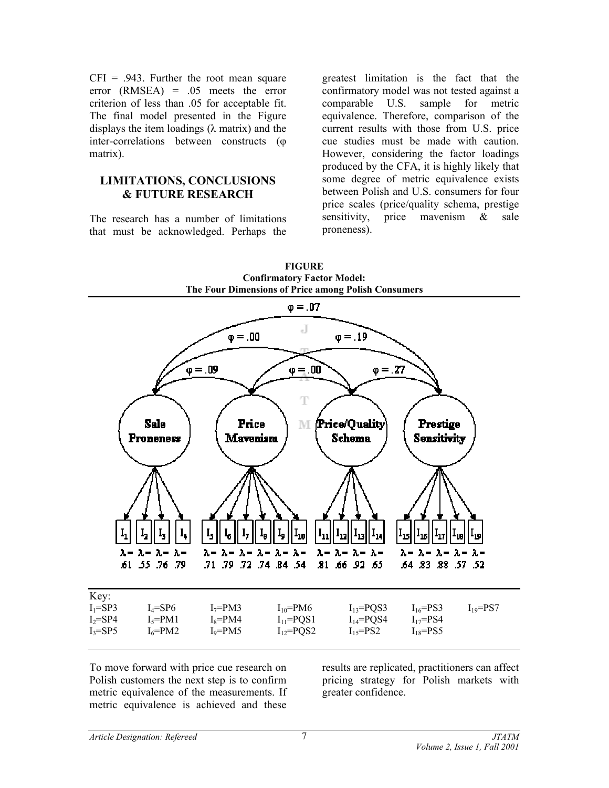$CFI = .943$ . Further the root mean square error (RMSEA) = .05 meets the error criterion of less than .05 for acceptable fit. The final model presented in the Figure displays the item loadings  $(\lambda \text{ matrix})$  and the inter-correlations between constructs (φ matrix).

### **LIMITATIONS, CONCLUSIONS & FUTURE RESEARCH**

The research has a number of limitations that must be acknowledged. Perhaps the greatest limitation is the fact that the confirmatory model was not tested against a comparable U.S. sample for metric equivalence. Therefore, comparison of the current results with those from U.S. price cue studies must be made with caution. However, considering the factor loadings produced by the CFA, it is highly likely that some degree of metric equivalence exists between Polish and U.S. consumers for four price scales (price/quality schema, prestige sensitivity, price mavenism & sale proneness).



To move forward with price cue research on Polish customers the next step is to confirm metric equivalence of the measurements. If metric equivalence is achieved and these

results are replicated, practitioners can affect pricing strategy for Polish markets with greater confidence.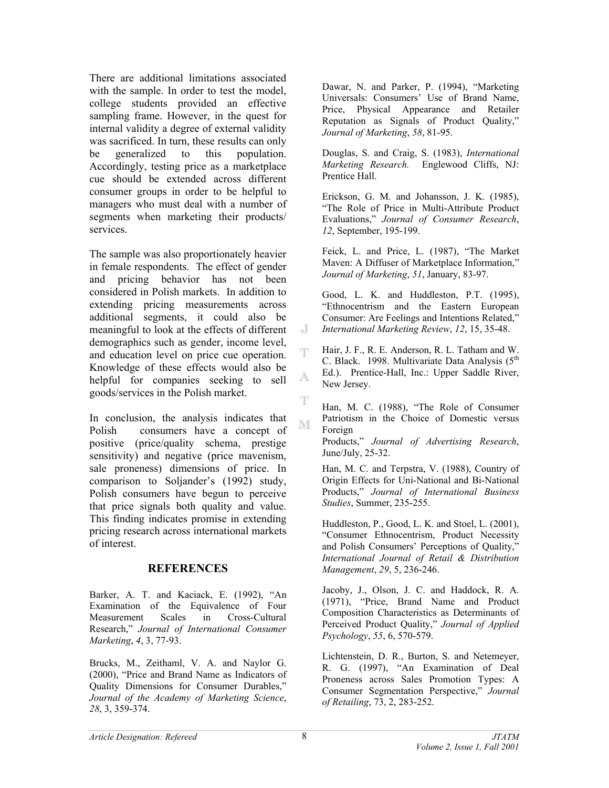There are additional limitations associated with the sample. In order to test the model, college students provided an effective sampling frame. However, in the quest for internal validity a degree of external validity was sacrificed. In turn, these results can only be generalized to this population. Accordingly, testing price as a marketplace cue should be extended across different consumer groups in order to be helpful to managers who must deal with a number of segments when marketing their products/ services.

The sample was also proportionately heavier in female respondents. The effect of gender and pricing behavior has not been considered in Polish markets. In addition to extending pricing measurements across additional segments, it could also be meaningful to look at the effects of different demographics such as gender, income level, and education level on price cue operation. Knowledge of these effects would also be helpful for companies seeking to sell goods/services in the Polish market.

In conclusion, the analysis indicates that Polish consumers have a concept of positive (price/quality schema, prestige sensitivity) and negative (price mavenism, sale proneness) dimensions of price. In comparison to Soljander's (1992) study, Polish consumers have begun to perceive that price signals both quality and value. This finding indicates promise in extending pricing research across international markets of interest.

### **REFERENCES**

Barker, A. T. and Kaciack, E. (1992), "An Examination of the Equivalence of Four Measurement Scales in Cross-Cultural Research," *Journal of International Consumer Marketing*, *4*, 3, 77-93.

Brucks, M., Zeithaml, V. A. and Naylor G. (2000), "Price and Brand Name as Indicators of Quality Dimensions for Consumer Durables," *Journal of the Academy of Marketing Science*, *28*, 3, 359-374.

Dawar, N. and Parker, P. (1994), "Marketing Universals: Consumers' Use of Brand Name, Price, Physical Appearance and Retailer Reputation as Signals of Product Quality," *Journal of Marketing*, *58*, 81-95.

Douglas, S. and Craig, S. (1983), *International Marketing Research.* Englewood Cliffs, NJ: Prentice Hall.

Erickson, G. M. and Johansson, J. K. (1985), "The Role of Price in Multi-Attribute Product Evaluations," *Journal of Consumer Research*, *12*, September, 195-199.

Feick, L. and Price, L. (1987), "The Market Maven: A Diffuser of Marketplace Information," *Journal of Marketing*, *51*, January, 83-97.

Good, L. K. and Huddleston, P.T. (1995), "Ethnocentrism and the Eastern European Consumer: Are Feelings and Intentions Related," *International Marketing Review*, *12*, 15, 35-48.

Hair, J. F., R. E. Anderson, R. L. Tatham and W. C. Black. 1998. Multivariate Data Analysis (5<sup>th</sup> Ed.). Prentice-Hall, Inc.: Upper Saddle River, New Jersey.

Han, M. C. (1988), "The Role of Consumer Patriotism in the Choice of Domestic versus Foreign

Products," *Journal of Advertising Research*, June/July, 25-32.

Han, M. C. and Terpstra, V. (1988), Country of Origin Effects for Uni-National and Bi-National Products," *Journal of International Business Studies*, Summer, 235-255.

Huddleston, P., Good, L. K. and Stoel, L. (2001), "Consumer Ethnocentrism, Product Necessity and Polish Consumers' Perceptions of Quality," *International Journal of Retail & Distribution Management*, *29*, 5, 236-246.

Jacoby, J., Olson, J. C. and Haddock, R. A. (1971), "Price, Brand Name and Product Composition Characteristics as Determinants of Perceived Product Quality," *Journal of Applied Psychology*, *55*, 6, 570-579.

Lichtenstein, D. R., Burton, S. and Netemeyer, R. G. (1997), "An Examination of Deal Proneness across Sales Promotion Types: A Consumer Segmentation Perspective," *Journal of Retailing*, 73, 2, 283-252.

J

T

A.

T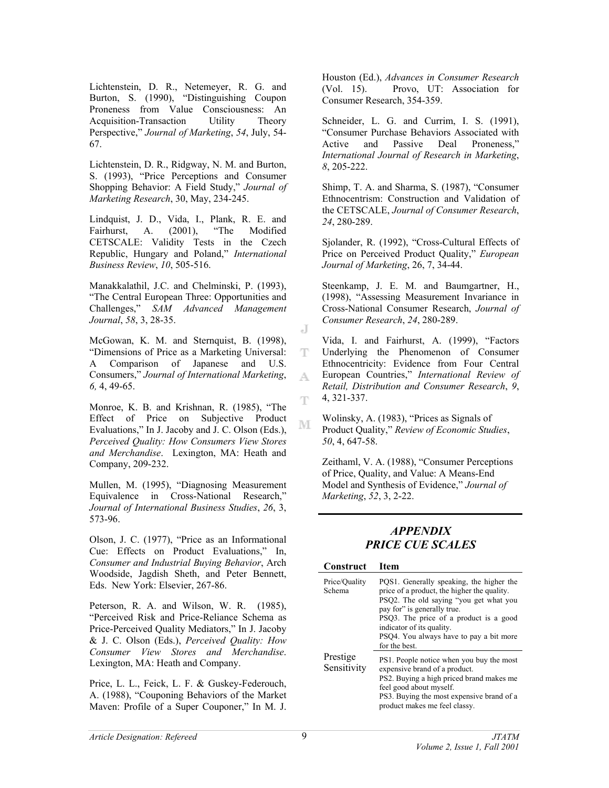Lichtenstein, D. R., Netemeyer, R. G. and Burton, S. (1990), "Distinguishing Coupon Proneness from Value Consciousness: An Acquisition-Transaction Utility Theory Perspective," *Journal of Marketing*, *54*, July, 54- 67.

Lichtenstein, D. R., Ridgway, N. M. and Burton, S. (1993), "Price Perceptions and Consumer Shopping Behavior: A Field Study," *Journal of Marketing Research*, 30, May, 234-245.

Lindquist, J. D., Vida, I., Plank, R. E. and Fairhurst, A. (2001), "The Modified CETSCALE: Validity Tests in the Czech Republic, Hungary and Poland," *International Business Review*, *10*, 505-516.

Manakkalathil, J.C. and Chelminski, P. (1993), "The Central European Three: Opportunities and Challenges," *SAM Advanced Management Journal*, *58*, 3, 28-35.

McGowan, K. M. and Sternquist, B. (1998), "Dimensions of Price as a Marketing Universal: A Comparison of Japanese and U.S. Consumers," *Journal of International Marketing*, *6,* 4, 49-65.

Monroe, K. B. and Krishnan, R. (1985), "The Effect of Price on Subjective Product Evaluations," In J. Jacoby and J. C. Olson (Eds.), *Perceived Quality: How Consumers View Stores and Merchandise*. Lexington, MA: Heath and Company, 209-232.

Mullen, M. (1995), "Diagnosing Measurement Equivalence in Cross-National Research," *Journal of International Business Studies*, *26*, 3, 573-96.

Olson, J. C. (1977), "Price as an Informational Cue: Effects on Product Evaluations," In, *Consumer and Industrial Buying Behavior*, Arch Woodside, Jagdish Sheth, and Peter Bennett, Eds. New York: Elsevier, 267-86.

Peterson, R. A. and Wilson, W. R. (1985), "Perceived Risk and Price-Reliance Schema as Price-Perceived Quality Mediators," In J. Jacoby & J. C. Olson (Eds.), *Perceived Quality: How Consumer View Stores and Merchandise*. Lexington, MA: Heath and Company.

Price, L. L., Feick, L. F. & Guskey-Federouch, A. (1988), "Couponing Behaviors of the Market Maven: Profile of a Super Couponer," In M. J.

Houston (Ed.), *Advances in Consumer Research* (Vol. 15). Provo, UT: Association for Consumer Research, 354-359.

Schneider, L. G. and Currim, I. S. (1991), "Consumer Purchase Behaviors Associated with Active and Passive Deal Proneness," *International Journal of Research in Marketing*, *8*, 205-222.

Shimp, T. A. and Sharma, S. (1987), "Consumer Ethnocentrism: Construction and Validation of the CETSCALE, *Journal of Consumer Research*, *24*, 280-289.

Sjolander, R. (1992), "Cross-Cultural Effects of Price on Perceived Product Quality," *European Journal of Marketing*, 26, 7, 34-44.

Steenkamp, J. E. M. and Baumgartner, H., (1998), "Assessing Measurement Invariance in Cross-National Consumer Research, *Journal of Consumer Research*, *24*, 280-289.

Vida, I. and Fairhurst, A. (1999), "Factors Underlying the Phenomenon of Consumer Ethnocentricity: Evidence from Four Central European Countries," *International Review of Retail, Distribution and Consumer Research*, *9*, 4, 321-337.

Wolinsky, A. (1983), "Prices as Signals of Product Quality," *Review of Economic Studies*, *50*, 4, 647-58.

Zeithaml, V. A. (1988), "Consumer Perceptions of Price, Quality, and Value: A Means-End Model and Synthesis of Evidence," *Journal of Marketing*, *52*, 3, 2-22.

### *APPENDIX PRICE CUE SCALES*

#### **Construct Item**

| Price/Quality<br>Schema | PQS1. Generally speaking, the higher the<br>price of a product, the higher the quality.<br>PSQ2. The old saying "you get what you<br>pay for" is generally true.<br>PSQ3. The price of a product is a good<br>indicator of its quality.<br>PSQ4. You always have to pay a bit more<br>for the best. |
|-------------------------|-----------------------------------------------------------------------------------------------------------------------------------------------------------------------------------------------------------------------------------------------------------------------------------------------------|
| Prestige<br>Sensitivity | PS1. People notice when you buy the most<br>expensive brand of a product.<br>PS2. Buying a high priced brand makes me<br>feel good about myself.<br>PS3. Buying the most expensive brand of a<br>product makes me feel classy.                                                                      |

J

ΤЧ.

A.

Ŧ